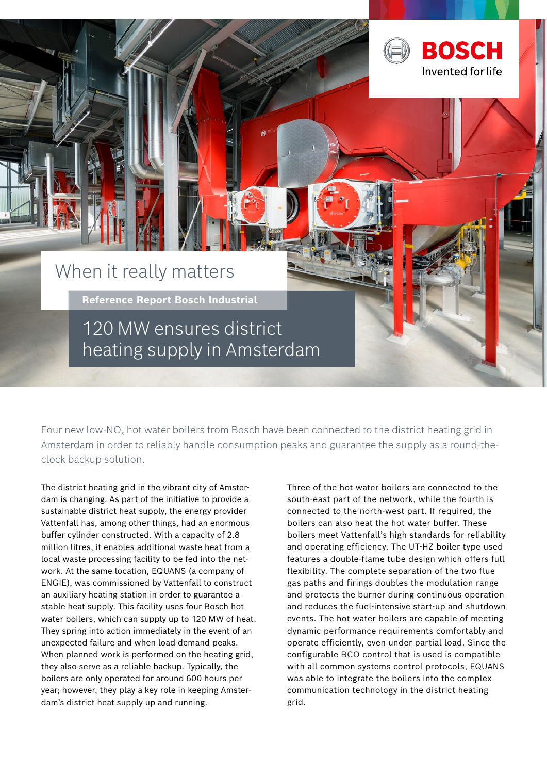

Four new low-NO<sub>x</sub> hot water boilers from Bosch have been connected to the district heating grid in Amsterdam in order to reliably handle consumption peaks and guarantee the supply as a round-theclock backup solution.

The district heating grid in the vibrant city of Amsterdam is changing. As part of the initiative to provide a sustainable district heat supply, the energy provider Vattenfall has, among other things, had an enormous buffer cylinder constructed. With a capacity of 2.8 million litres, it enables additional waste heat from a local waste processing facility to be fed into the network. At the same location, EQUANS (a company of ENGIE), was commissioned by Vattenfall to construct an auxiliary heating station in order to guarantee a stable heat supply. This facility uses four Bosch hot water boilers, which can supply up to 120 MW of heat. They spring into action immediately in the event of an unexpected failure and when load demand peaks. When planned work is performed on the heating grid, they also serve as a reliable backup. Typically, the boilers are only operated for around 600 hours per year; however, they play a key role in keeping Amsterdam's district heat supply up and running.

Three of the hot water boilers are connected to the south-east part of the network, while the fourth is connected to the north-west part. If required, the boilers can also heat the hot water buffer. These boilers meet Vattenfall's high standards for reliability and operating efficiency. The UT-HZ boiler type used features a double-flame tube design which offers full flexibility. The complete separation of the two flue gas paths and firings doubles the modulation range and protects the burner during continuous operation and reduces the fuel-intensive start-up and shutdown events. The hot water boilers are capable of meeting dynamic performance requirements comfortably and operate efficiently, even under partial load. Since the configurable BCO control that is used is compatible with all common systems control protocols, EQUANS was able to integrate the boilers into the complex communication technology in the district heating grid.